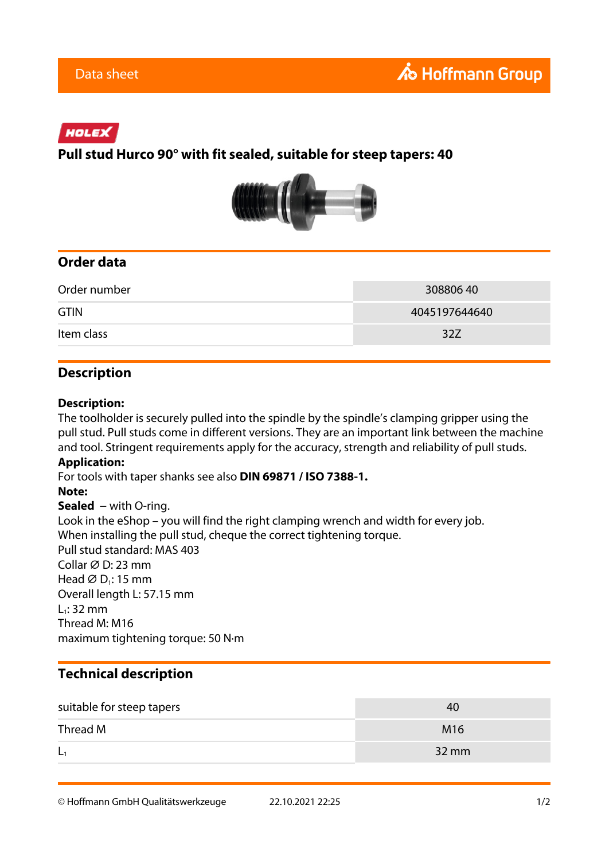## HOLEX

## **Pull stud Hurco 90° with fit sealed, suitable for steep tapers: 40**



## **Order data**

| Order number | 30880640      |
|--------------|---------------|
| <b>GTIN</b>  | 4045197644640 |
| Item class   | 32Z           |

### **Description**

#### **Description:**

The toolholder is securely pulled into the spindle by the spindle's clamping gripper using the pull stud. Pull studs come in different versions. They are an important link between the machine and tool. Stringent requirements apply for the accuracy, strength and reliability of pull studs.

### **Application:**

For tools with taper shanks see also **DIN 69871 / ISO 7388-1. Note: Sealed** − with O-ring. Look in the eShop – you will find the right clamping wrench and width for every job. When installing the pull stud, cheque the correct tightening torque. Pull stud standard: MAS 403 Collar  $\varnothing$  D: 23 mm Head  $\varnothing$  D<sub>1</sub>: 15 mm Overall length L: 57.15 mm  $L_1$ : 32 mm Thread M: M16 maximum tightening torque: 50 N·m

## **Technical description**

| suitable for steep tapers | 40                |
|---------------------------|-------------------|
| Thread M                  | M <sub>16</sub>   |
| <b>L</b> <sub>1</sub>     | $32 \, \text{mm}$ |